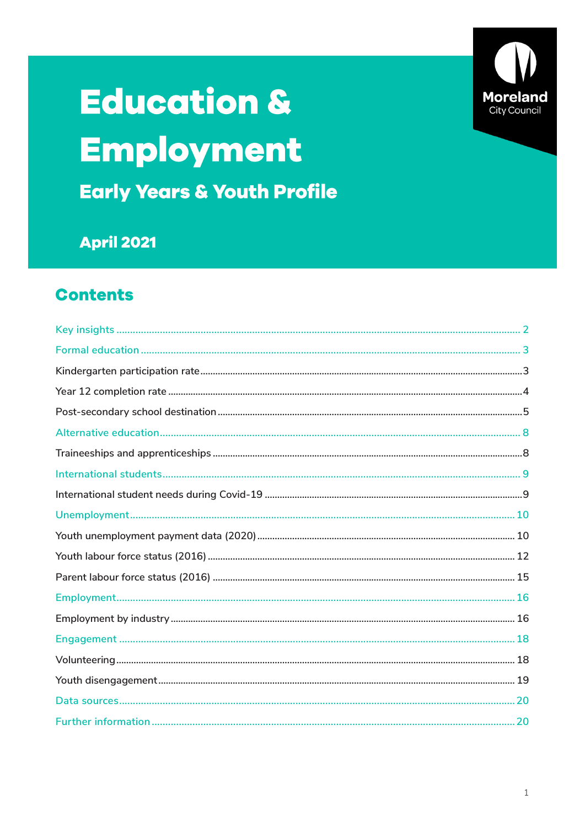

# **Education &** Employment

**Early Years & Youth Profile** 

**April 2021** 

## **Contents**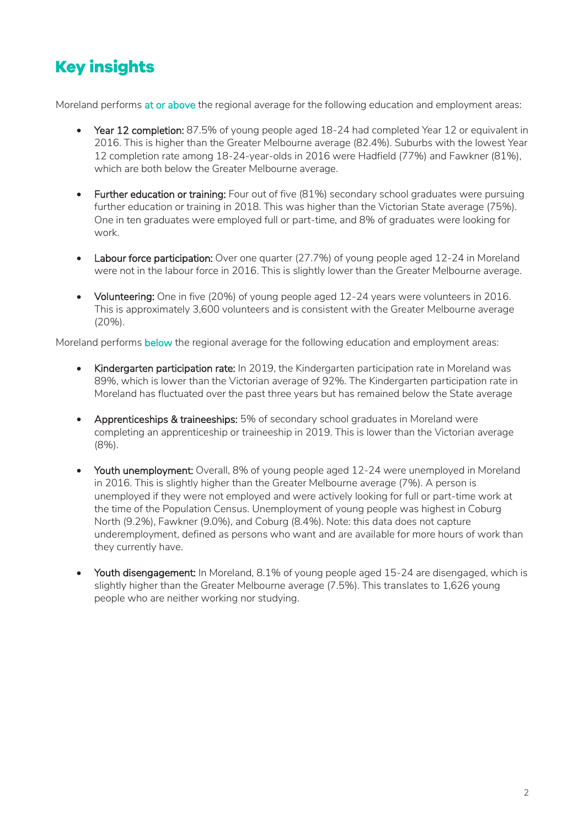# <span id="page-1-0"></span>**Key insights**

Moreland performs at or above the regional average for the following education and employment areas:

- Year 12 completion: 87.5% of young people aged 18-24 had completed Year 12 or equivalent in 2016. This is higher than the Greater Melbourne average (82.4%). Suburbs with the lowest Year 12 completion rate among 18-24-year-olds in 2016 were Hadfield (77%) and Fawkner (81%), which are both below the Greater Melbourne average.
- Further education or training: Four out of five (81%) secondary school graduates were pursuing further education or training in 2018. This was higher than the Victorian State average (75%). One in ten graduates were employed full or part-time, and 8% of graduates were looking for work.
- Labour force participation: Over one quarter (27.7%) of young people aged 12-24 in Moreland were not in the labour force in 2016. This is slightly lower than the Greater Melbourne average.
- Volunteering: One in five (20%) of young people aged 12-24 years were volunteers in 2016. This is approximately 3,600 volunteers and is consistent with the Greater Melbourne average (20%).

Moreland performs below the regional average for the following education and employment areas:

- Kindergarten participation rate: In 2019, the Kindergarten participation rate in Moreland was 89%, which is lower than the Victorian average of 92%. The Kindergarten participation rate in Moreland has fluctuated over the past three years but has remained below the State average
- Apprenticeships & traineeships: 5% of secondary school graduates in Moreland were completing an apprenticeship or traineeship in 2019. This is lower than the Victorian average (8%).
- Youth unemployment: Overall, 8% of young people aged 12-24 were unemployed in Moreland in 2016. This is slightly higher than the Greater Melbourne average (7%). A person is unemployed if they were not employed and were actively looking for full or part-time work at the time of the Population Census. Unemployment of young people was highest in Coburg North (9.2%), Fawkner (9.0%), and Coburg (8.4%). Note: this data does not capture underemployment, defined as persons who want and are available for more hours of work than they currently have.
- Youth disengagement: In Moreland, 8.1% of young people aged 15-24 are disengaged, which is slightly higher than the Greater Melbourne average (7.5%). This translates to 1,626 young people who are neither working nor studying.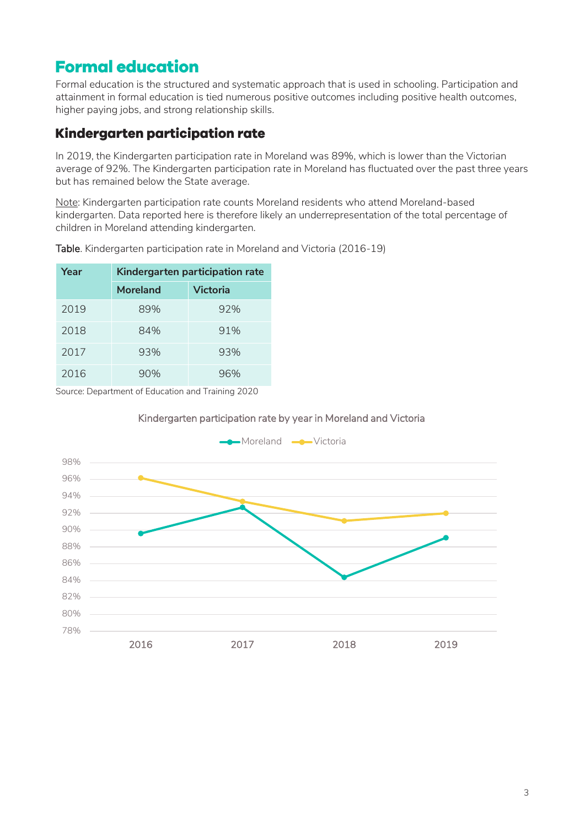# <span id="page-2-0"></span>**Formal education**

Formal education is the structured and systematic approach that is used in schooling. Participation and attainment in formal education is tied numerous positive outcomes including positive health outcomes, higher paying jobs, and strong relationship skills.

## <span id="page-2-1"></span>Kindergarten participation rate

In 2019, the Kindergarten participation rate in Moreland was 89%, which is lower than the Victorian average of 92%. The Kindergarten participation rate in Moreland has fluctuated over the past three years but has remained below the State average.

Note: Kindergarten participation rate counts Moreland residents who attend Moreland-based kindergarten. Data reported here is therefore likely an underrepresentation of the total percentage of children in Moreland attending kindergarten.

| Year | Kindergarten participation rate |                 |  |
|------|---------------------------------|-----------------|--|
|      | Moreland                        | <b>Victoria</b> |  |
| 2019 | 89%                             | 92%             |  |
| 2018 | 84%                             | 91%             |  |
| 2017 | 93%                             | 93%             |  |
| 2016 | 90%                             | 96%             |  |

Table. Kindergarten participation rate in Moreland and Victoria (2016-19)

Source: Department of Education and Training 2020

#### Kindergarten participation rate by year in Moreland and Victoria

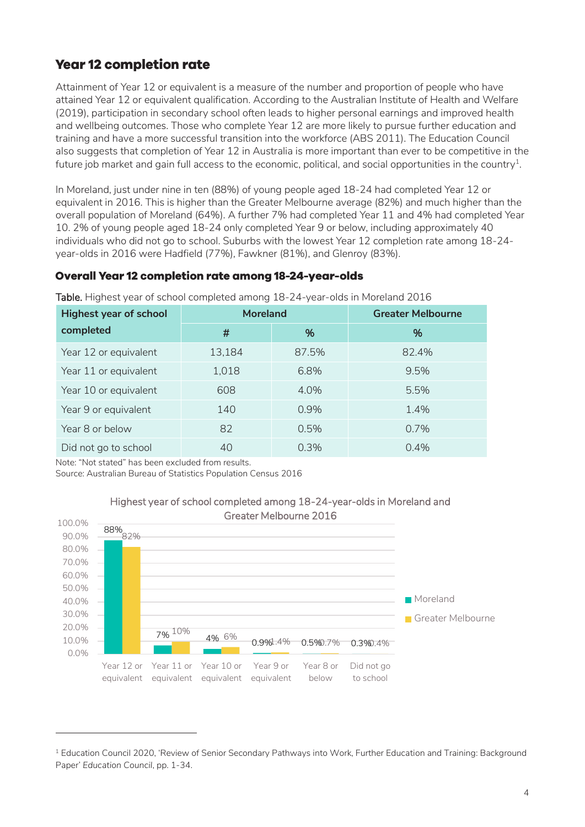## <span id="page-3-0"></span>**Year 12 completion rate**

Attainment of Year 12 or equivalent is a measure of the number and proportion of people who have attained Year 12 or equivalent qualification. According to the Australian Institute of Health and Welfare (2019), participation in secondary school often leads to higher personal earnings and improved health and wellbeing outcomes. Those who complete Year 12 are more likely to pursue further education and training and have a more successful transition into the workforce (ABS 2011). The Education Council also suggests that completion of Year 12 in Australia is more important than ever to be competitive in the future job market and gain full access to the economic, political, and social opportunities in the country $^{\text{\tiny 1}}$ .

In Moreland, just under nine in ten (88%) of young people aged 18-24 had completed Year 12 or equivalent in 2016. This is higher than the Greater Melbourne average (82%) and much higher than the overall population of Moreland (64%). A further 7% had completed Year 11 and 4% had completed Year 10. 2% of young people aged 18-24 only completed Year 9 or below, including approximately 40 individuals who did not go to school. Suburbs with the lowest Year 12 completion rate among 18-24 year-olds in 2016 were Hadfield (77%), Fawkner (81%), and Glenroy (83%).

#### **Overall Year 12 completion rate among 18-24-year-olds**

Table. Highest year of school completed among 18-24-year-olds in Moreland 2016

| <b>Highest year of school</b> | <b>Moreland</b> |         | <b>Greater Melbourne</b> |  |
|-------------------------------|-----------------|---------|--------------------------|--|
| completed                     | #               | %       | %                        |  |
| Year 12 or equivalent         | 13,184          | 87.5%   | 82.4%                    |  |
| Year 11 or equivalent         | 1,018           | 6.8%    | 9.5%                     |  |
| Year 10 or equivalent         | 608             | 4.0%    | 5.5%                     |  |
| Year 9 or equivalent          | 140             | $0.9\%$ | 1.4%                     |  |
| Year 8 or below               | 82              | 0.5%    | 0.7%                     |  |
| Did not go to school          | 40              | 0.3%    | 0.4%                     |  |

Note: "Not stated" has been excluded from results.

-

Source: Australian Bureau of Statistics Population Census 2016



# <span id="page-3-1"></span>Highest year of school completed among 18-24-year-olds in Moreland and

<sup>1</sup> Education Council 2020, 'Review of Senior Secondary Pathways into Work, Further Education and Training: Background Paper' *Education Council*, pp. 1-34.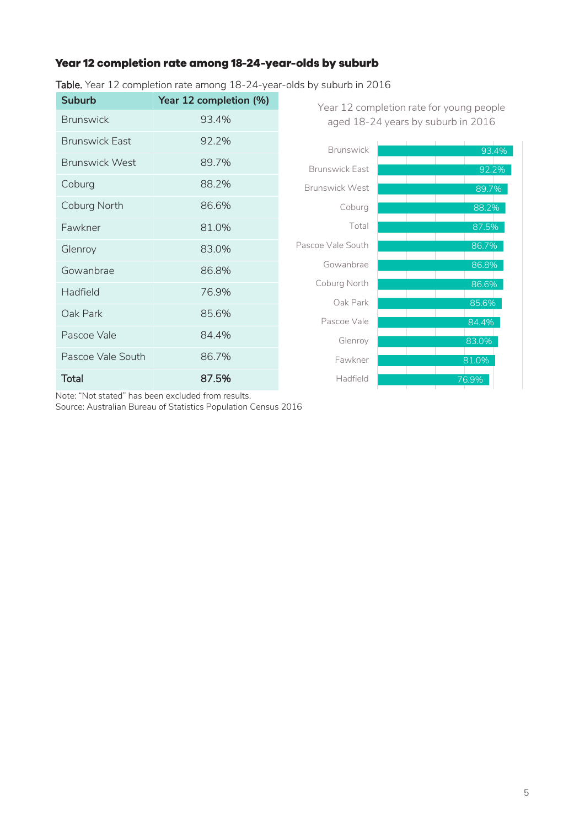## Year 12 completion rate among 18-24-year-olds by suburb

Table. Year 12 completion rate among 18-24-year-olds by suburb in 2016

| Suburb                | Year 12 completion (%) | Year 12 completion rate for young people |                                    |
|-----------------------|------------------------|------------------------------------------|------------------------------------|
| <b>Brunswick</b>      | 93.4%                  |                                          | aged 18-24 years by suburb in 2016 |
| <b>Brunswick East</b> | 92.2%                  | <b>Brunswick</b>                         | 93.4%                              |
| <b>Brunswick West</b> | 89.7%                  | <b>Brunswick East</b>                    | 92.2%                              |
| Coburg                | 88.2%                  | <b>Brunswick West</b>                    | 89.7%                              |
| Coburg North          | 86.6%                  | Coburg                                   | 88.2%                              |
| Fawkner               | 81.0%                  | Total                                    | 87.5%                              |
| Glenroy               | 83.0%                  | Pascoe Vale South                        | 86.7%                              |
| Gowanbrae             | 86.8%                  | Gowanbrae                                | 86.8%                              |
| Hadfield              | 76.9%                  | Coburg North                             | 86.6%                              |
| Oak Park              | 85.6%                  | Oak Park<br>Pascoe Vale                  | 85.6%                              |
| Pascoe Vale           | 84.4%                  | Glenroy                                  | 84.4%<br>83.0%                     |
| Pascoe Vale South     | 86.7%                  | Fawkner                                  | 81.0%                              |
| <b>Total</b>          | 87.5%                  | Hadfield                                 | 76.9%                              |
|                       |                        |                                          |                                    |

Note: "Not stated" has been excluded from results.

Source: Australian Bureau of Statistics Population Census 2016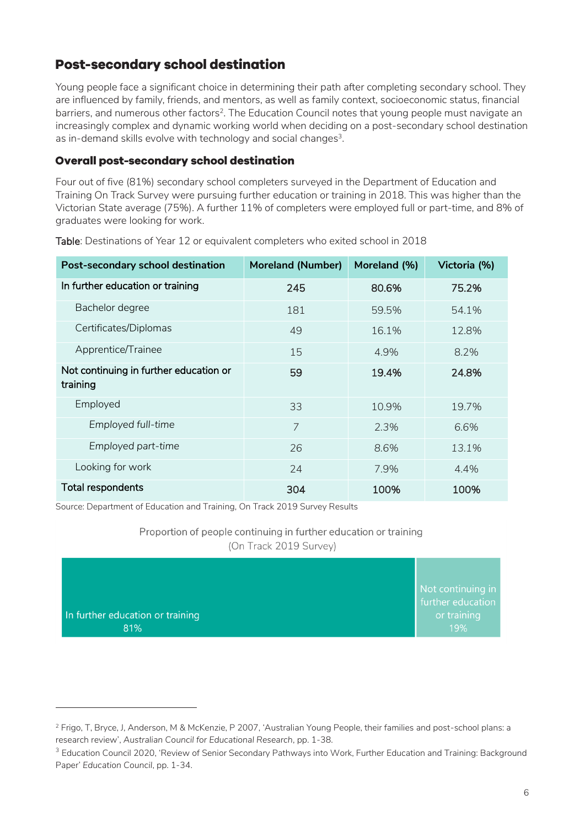## **Post-secondary school destination**

Young people face a significant choice in determining their path after completing secondary school. They are influenced by family, friends, and mentors, as well as family context, socioeconomic status, financial barriers, and numerous other factors<sup>2</sup>. The Education Council notes that young people must navigate an increasingly complex and dynamic working world when deciding on a post-secondary school destination as in-demand skills evolve with technology and social changes $^3$ .

#### **Overall post-secondary school destination**

Four out of five (81%) secondary school completers surveyed in the Department of Education and Training On Track Survey were pursuing further education or training in 2018. This was higher than the Victorian State average (75%). A further 11% of completers were employed full or part-time, and 8% of graduates were looking for work.

| Post-secondary school destination                  | <b>Moreland (Number)</b> | Moreland (%) | Victoria (%) |
|----------------------------------------------------|--------------------------|--------------|--------------|
| In further education or training                   | 245                      | 80.6%        | 75.2%        |
| Bachelor degree                                    | 181                      | 59.5%        | 54.1%        |
| Certificates/Diplomas                              | 49                       | 16.1%        | 12.8%        |
| Apprentice/Trainee                                 | 15                       | 4.9%         | 8.2%         |
| Not continuing in further education or<br>training | 59                       | 19.4%        | 24.8%        |
| Employed                                           | 33                       | 10.9%        | 19.7%        |
| Employed full-time                                 | 7                        | 2.3%         | 6.6%         |
| Employed part-time                                 | 26                       | 8.6%         | 13.1%        |
| Looking for work                                   | 24                       | 7.9%         | 4.4%         |
| Total respondents                                  | 304                      | 100%         | 100%         |

Table: Destinations of Year 12 or equivalent completers who exited school in 2018

Source: Department of Education and Training, On Track 2019 Survey Results

-

Proportion of people continuing in further education or training (On Track 2019 Survey)

| In further education or training<br>81% | Not continuing in<br>further education<br>or training<br>19% |
|-----------------------------------------|--------------------------------------------------------------|
|-----------------------------------------|--------------------------------------------------------------|

<sup>2</sup> Frigo, T, Bryce, J, Anderson, M & McKenzie, P 2007, 'Australian Young People, their families and post-school plans: a research review', *Australian Council for Educational Research*, pp. 1-38.

<sup>&</sup>lt;sup>3</sup> Education Council 2020, 'Review of Senior Secondary Pathways into Work, Further Education and Training: Background Paper' *Education Council*, pp. 1-34.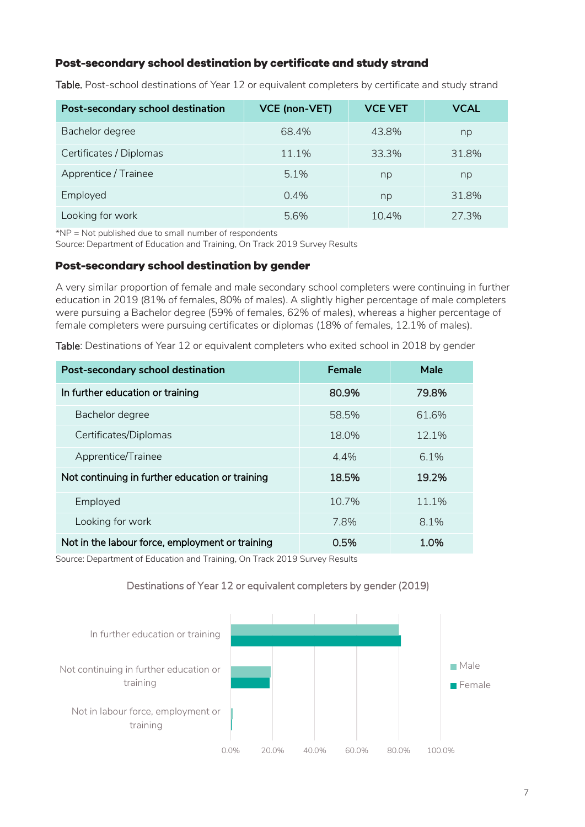### Post-secondary school destination by certificate and study strand

| Post-secondary school destination | <b>VCE (non-VET)</b> | <b>VCE VET</b> | <b>VCAL</b> |
|-----------------------------------|----------------------|----------------|-------------|
| Bachelor degree                   | 68.4%                | 43.8%          | np          |
| Certificates / Diplomas           | 11.1%                | 33.3%          | 31.8%       |
| Apprentice / Trainee              | $5.1\%$              | np             | np          |
| Employed                          | $0.4\%$              | np             | 31.8%       |
| Looking for work                  | 5.6%                 | $10.4\%$       | 27.3%       |

Table. Post-school destinations of Year 12 or equivalent completers by certificate and study strand

\*NP = Not published due to small number of respondents

Source: Department of Education and Training, On Track 2019 Survey Results

#### Post-secondary school destination by gender

A very similar proportion of female and male secondary school completers were continuing in further education in 2019 (81% of females, 80% of males). A slightly higher percentage of male completers were pursuing a Bachelor degree (59% of females, 62% of males), whereas a higher percentage of female completers were pursuing certificates or diplomas (18% of females, 12.1% of males).

Table: Destinations of Year 12 or equivalent completers who exited school in 2018 by gender

| Post-secondary school destination               | Female | Male    |
|-------------------------------------------------|--------|---------|
| In further education or training                | 80.9%  | 79.8%   |
| Bachelor degree                                 | 58.5%  | 61.6%   |
| Certificates/Diplomas                           | 18.0%  | 12.1%   |
| Apprentice/Trainee                              | 4.4%   | $6.1\%$ |
| Not continuing in further education or training | 18.5%  | 19.2%   |
| Employed                                        | 10.7%  | 11.1%   |
| Looking for work                                | 7.8%   | 8.1%    |
| Not in the labour force, employment or training | 0.5%   | 1.0%    |

Source: Department of Education and Training, On Track 2019 Survey Results

#### Destinations of Year 12 or equivalent completers by gender (2019)

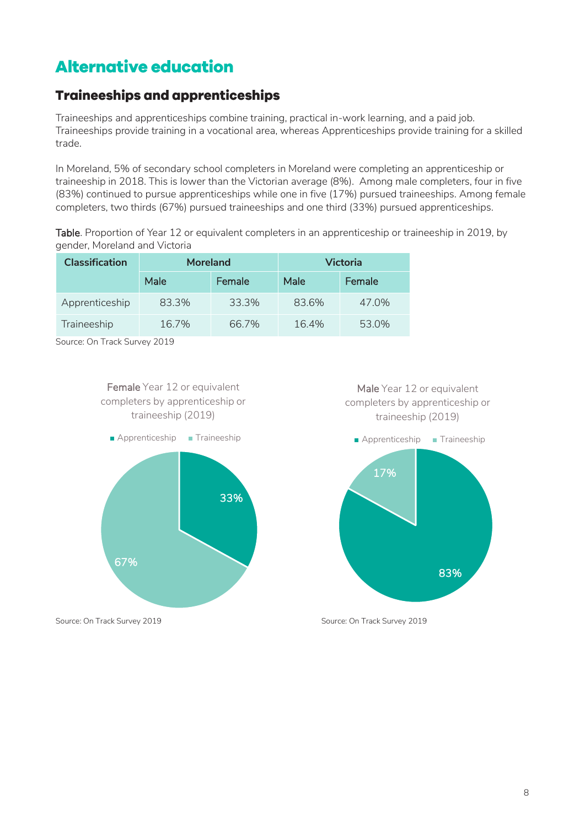# <span id="page-7-0"></span>**Alternative education**

## <span id="page-7-1"></span>**Traineeships and apprenticeships**

Traineeships and apprenticeships combine training, practical in-work learning, and a paid job. Traineeships provide training in a vocational area, whereas Apprenticeships provide training for a skilled trade.

In Moreland, 5% of secondary school completers in Moreland were completing an apprenticeship or traineeship in 2018. This is lower than the Victorian average (8%). Among male completers, four in five (83%) continued to pursue apprenticeships while one in five (17%) pursued traineeships. Among female completers, two thirds (67%) pursued traineeships and one third (33%) pursued apprenticeships.

Table. Proportion of Year 12 or equivalent completers in an apprenticeship or traineeship in 2019, by gender, Moreland and Victoria

| <b>Classification</b> | <b>Moreland</b> |        |       | Victoria |
|-----------------------|-----------------|--------|-------|----------|
|                       | Male            | Female | Male  | Female   |
| Apprenticeship        | 83.3%           | 33.3%  | 83.6% | 47.0%    |
| Traineeship           | 16.7%           | 66.7%  | 16.4% | 53.0%    |

Source: On Track Survey 2019







Source: On Track Survey 2019 Source: On Track Survey 2019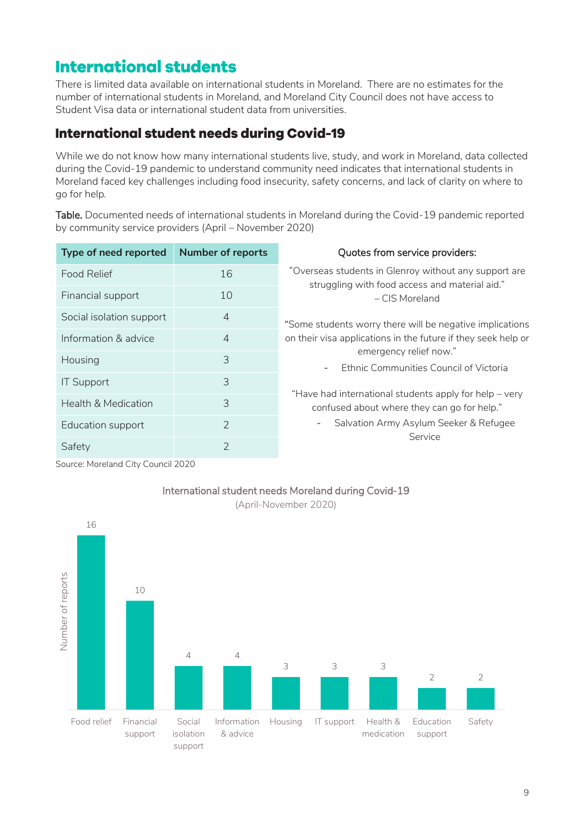## <span id="page-8-0"></span>**International students**

There is limited data available on international students in Moreland. There are no estimates for the number of international students in Moreland, and Moreland City Council does not have access to Student Visa data or international student data from universities.

## <span id="page-8-1"></span>**International student needs during Covid-19**

While we do not know how many international students live, study, and work in Moreland, data collected during the Covid-19 pandemic to understand community need indicates that international students in Moreland faced key challenges including food insecurity, safety concerns, and lack of clarity on where to go for help.

Table. Documented needs of international students in Moreland during the Covid-19 pandemic reported by community service providers (April – November 2020)

| Type of need reported          | <b>Number of reports</b> | Quotes from service providers:                                                                          |
|--------------------------------|--------------------------|---------------------------------------------------------------------------------------------------------|
| <b>Food Relief</b>             | 16                       | "Overseas students in Glenroy without any support are<br>struggling with food access and material aid." |
| Financial support              | 10                       | – CIS Moreland                                                                                          |
| Social isolation support       | $\overline{4}$           | "Some students worry there will be negative implications                                                |
| Information & advice           | $\overline{4}$           | on their visa applications in the future if they seek help or                                           |
| Housing                        | 3                        | emergency relief now."<br>Ethnic Communities Council of Victoria<br>$\overline{\phantom{a}}$            |
| <b>IT Support</b>              | 3                        |                                                                                                         |
| <b>Health &amp; Medication</b> | 3                        | "Have had international students apply for help - very<br>confused about where they can go for help."   |
| Education support              | 2                        | Salvation Army Asylum Seeker & Refugee<br>-<br>Service                                                  |
| Safety                         | $\mathcal{P}$            |                                                                                                         |

Source: Moreland City Council 2020



## International student needs Moreland during Covid-19

(April-November 2020)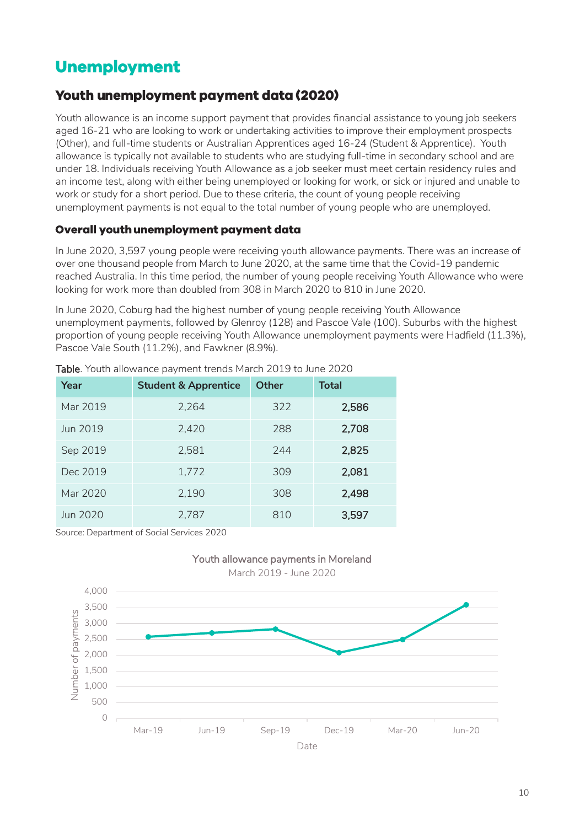# <span id="page-9-0"></span>**Unemployment**

## <span id="page-9-1"></span>**Youth unemployment payment data (2020)**

Youth allowance is an income support payment that provides financial assistance to young job seekers aged 16-21 who are looking to work or undertaking activities to improve their employment prospects (Other), and full-time students or Australian Apprentices aged 16-24 (Student & Apprentice). Youth allowance is typically not available to students who are studying full-time in secondary school and are under 18. Individuals receiving Youth Allowance as a job seeker must meet certain residency rules and an income test, along with either being unemployed or looking for work, or sick or injured and unable to work or study for a short period. Due to these criteria, the count of young people receiving unemployment payments is not equal to the total number of young people who are unemployed.

#### Overall youth unemployment payment data

In June 2020, 3,597 young people were receiving youth allowance payments. There was an increase of over one thousand people from March to June 2020, at the same time that the Covid-19 pandemic reached Australia. In this time period, the number of young people receiving Youth Allowance who were looking for work more than doubled from 308 in March 2020 to 810 in June 2020.

In June 2020, Coburg had the highest number of young people receiving Youth Allowance unemployment payments, followed by Glenroy (128) and Pascoe Vale (100). Suburbs with the highest proportion of young people receiving Youth Allowance unemployment payments were Hadfield (11.3%), Pascoe Vale South (11.2%), and Fawkner (8.9%).

| Year     | <b>Student &amp; Apprentice</b> | <b>Other</b> | <b>Total</b> |
|----------|---------------------------------|--------------|--------------|
| Mar 2019 | 2,264                           | 322          | 2,586        |
| Jun 2019 | 2,420                           | 288          | 2,708        |
| Sep 2019 | 2,581                           | 244          | 2,825        |
| Dec 2019 | 1,772                           | 309          | 2,081        |
| Mar 2020 | 2,190                           | 308          | 2,498        |
| Jun 2020 | 2,787                           | 810          | 3,597        |

Table. Youth allowance payment trends March 2019 to June 2020

Source: Department of Social Services 2020

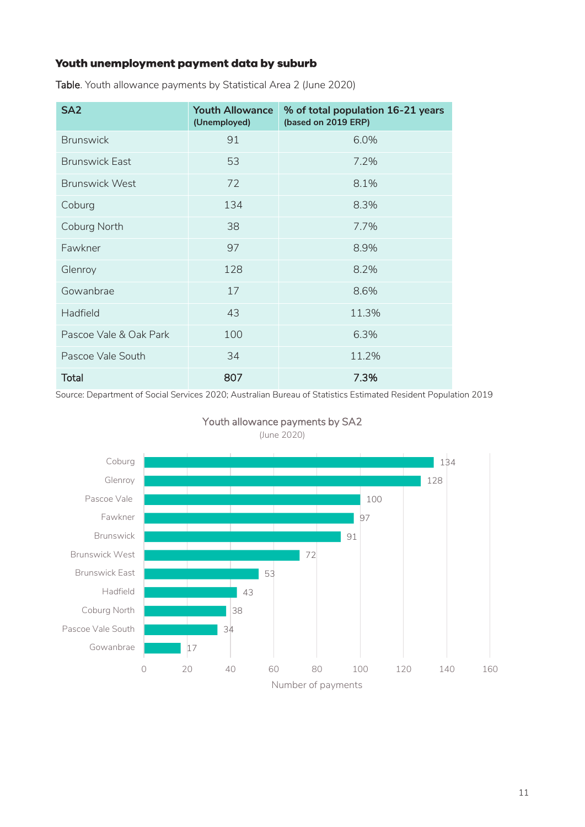## Youth unemployment payment data by suburb

| SA <sub>2</sub>        | <b>Youth Allowance</b><br>(Unemployed) | % of total population 16-21 years<br>(based on 2019 ERP) |
|------------------------|----------------------------------------|----------------------------------------------------------|
| <b>Brunswick</b>       | 91                                     | 6.0%                                                     |
| <b>Brunswick East</b>  | 53                                     | 7.2%                                                     |
| <b>Brunswick West</b>  | 72                                     | 8.1%                                                     |
| Coburg                 | 134                                    | 8.3%                                                     |
| Coburg North           | 38                                     | 7.7%                                                     |
| Fawkner                | 97                                     | 8.9%                                                     |
| Glenroy                | 128                                    | 8.2%                                                     |
| Gowanbrae              | 17                                     | 8.6%                                                     |
| Hadfield               | 43                                     | 11.3%                                                    |
| Pascoe Vale & Oak Park | 100                                    | 6.3%                                                     |
| Pascoe Vale South      | 34                                     | 11.2%                                                    |
| <b>Total</b>           | 807                                    | 7.3%                                                     |

Table. Youth allowance payments by Statistical Area 2 (June 2020)

Source: Department of Social Services 2020; Australian Bureau of Statistics Estimated Resident Population 2019



Youth allowance payments by SA2 (June 2020)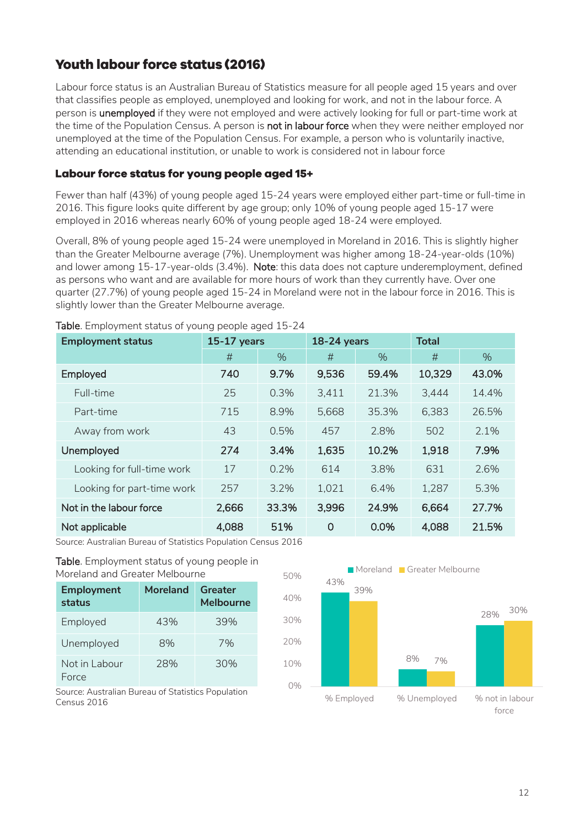## <span id="page-11-0"></span>**Youth labour force status (2016)**

Labour force status is an Australian Bureau of Statistics measure for all people aged 15 years and over that classifies people as employed, unemployed and looking for work, and not in the labour force. A person is unemployed if they were not employed and were actively looking for full or part-time work at the time of the Population Census. A person is **not in labour force** when they were neither employed nor unemployed at the time of the Population Census. For example, a person who is voluntarily inactive, attending an educational institution, or unable to work is considered not in labour force

#### Labour force status for young people aged 15+

Fewer than half (43%) of young people aged 15-24 years were employed either part-time or full-time in 2016. This figure looks quite different by age group; only 10% of young people aged 15-17 were employed in 2016 whereas nearly 60% of young people aged 18-24 were employed.

Overall, 8% of young people aged 15-24 were unemployed in Moreland in 2016. This is slightly higher than the Greater Melbourne average (7%). Unemployment was higher among 18-24-year-olds (10%) and lower among 15-17-year-olds (3.4%). Note: this data does not capture underemployment, defined as persons who want and are available for more hours of work than they currently have. Over one quarter (27.7%) of young people aged 15-24 in Moreland were not in the labour force in 2016. This is slightly lower than the Greater Melbourne average.

| <b>Employment status</b>   | <b>18-24 years</b><br><b>15-17 years</b> |       |          | <b>Total</b> |        |       |
|----------------------------|------------------------------------------|-------|----------|--------------|--------|-------|
|                            | #                                        | $\%$  | #        | $\%$         | #      | $\%$  |
| Employed                   | 740                                      | 9.7%  | 9,536    | 59.4%        | 10,329 | 43.0% |
| Full-time                  | 25                                       | 0.3%  | 3,411    | 21.3%        | 3,444  | 14.4% |
| Part-time                  | 715                                      | 8.9%  | 5,668    | 35.3%        | 6,383  | 26.5% |
| Away from work             | 43                                       | 0.5%  | 457      | 2.8%         | 502    | 2.1%  |
| Unemployed                 | 274                                      | 3.4%  | 1,635    | 10.2%        | 1,918  | 7.9%  |
| Looking for full-time work | 17                                       | 0.2%  | 614      | 3.8%         | 631    | 2.6%  |
| Looking for part-time work | 257                                      | 3.2%  | 1,021    | 6.4%         | 1,287  | 5.3%  |
| Not in the labour force    | 2,666                                    | 33.3% | 3,996    | 24.9%        | 6,664  | 27.7% |
| Not applicable             | 4,088                                    | 51%   | $\Omega$ | 0.0%         | 4,088  | 21.5% |

Table. Employment status of young people aged 15-24

Source: Australian Bureau of Statistics Population Census 2016

Table. Employment status of young people in Moreland and Greater Melbourne

| <b>Employment</b><br>status | <b>Moreland</b> | Greater<br>Melbourne |
|-----------------------------|-----------------|----------------------|
| Employed                    | 43%             | 39%                  |
| Unemployed                  | 8%              | 7%                   |
| Not in Labour<br>Force      | 28%             | 30%                  |

Source: Australian Bureau of Statistics Population Census 2016

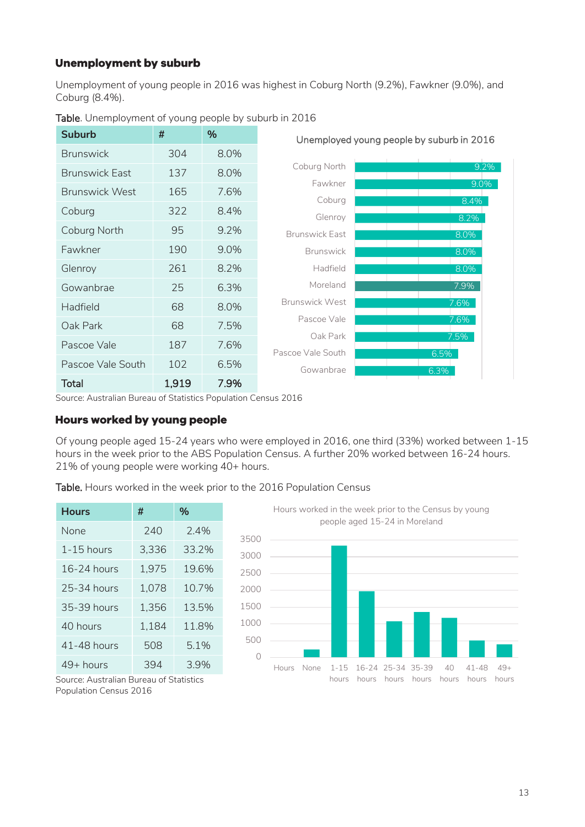### **Unemployment by suburb**

Unemployment of young people in 2016 was highest in Coburg North (9.2%), Fawkner (9.0%), and Coburg (8.4%).



Table. Unemployment of young people by suburb in 2016

Source: Australian Bureau of Statistics Population Census 2016

#### Hours worked by young people

Of young people aged 15-24 years who were employed in 2016, one third (33%) worked between 1-15 hours in the week prior to the ABS Population Census. A further 20% worked between 16-24 hours. 21% of young people were working 40+ hours.

Table. Hours worked in the week prior to the 2016 Population Census

| <b>Hours</b>    | #     | %     |
|-----------------|-------|-------|
| None            | 240   | 24%   |
| $1 - 15$ hours  | 3,336 | 33.2% |
| $16-24$ hours   | 1,975 | 19.6% |
| 25-34 hours     | 1,078 | 10.7% |
| 35-39 hours     | 1,356 | 13.5% |
| $40$ hours      | 1,184 | 11.8% |
| $41 - 48$ hours | 508   | 5.1%  |
| $49+$ hours     | 394   | 3.9%  |



hours hours hours hours hours

hours

Source: Australian Bureau of Statistics Population Census 2016

hours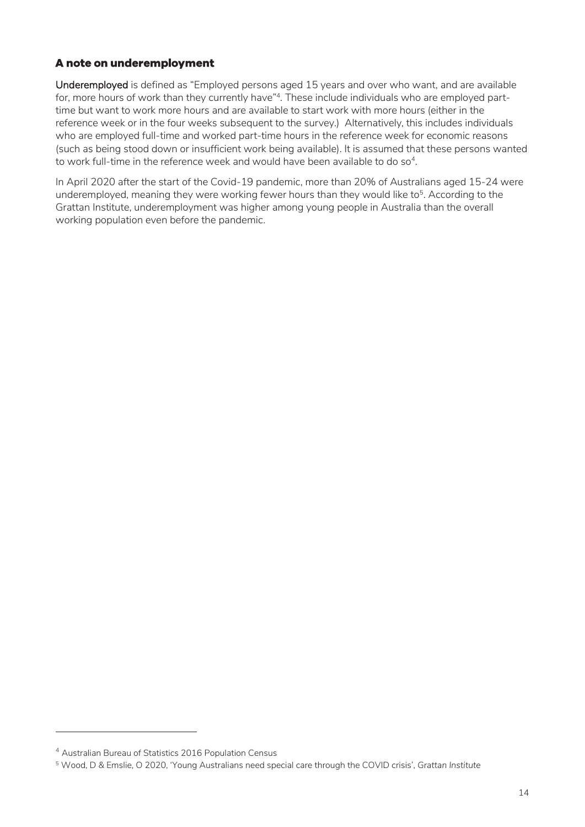### A note on underemployment

Underemployed is defined as "Employed persons aged 15 years and over who want, and are available for, more hours of work than they currently have" 4 . These include individuals who are employed parttime but want to work more hours and are available to start work with more hours (either in the reference week or in the four weeks subsequent to the survey.) Alternatively, this includes individuals who are employed full-time and worked part-time hours in the reference week for economic reasons (such as being stood down or insufficient work being available). It is assumed that these persons wanted to work full-time in the reference week and would have been available to do  $\mathsf{so}^4$ .

In April 2020 after the start of the Covid-19 pandemic, more than 20% of Australians aged 15-24 were underemployed, meaning they were working fewer hours than they would like to<sup>5</sup>. According to the Grattan Institute, underemployment was higher among young people in Australia than the overall working population even before the pandemic.

-

<sup>4</sup> Australian Bureau of Statistics 2016 Population Census

<sup>5</sup> Wood, D & Emslie, O 2020, 'Young Australians need special care through the COVID crisis', *Grattan Institute*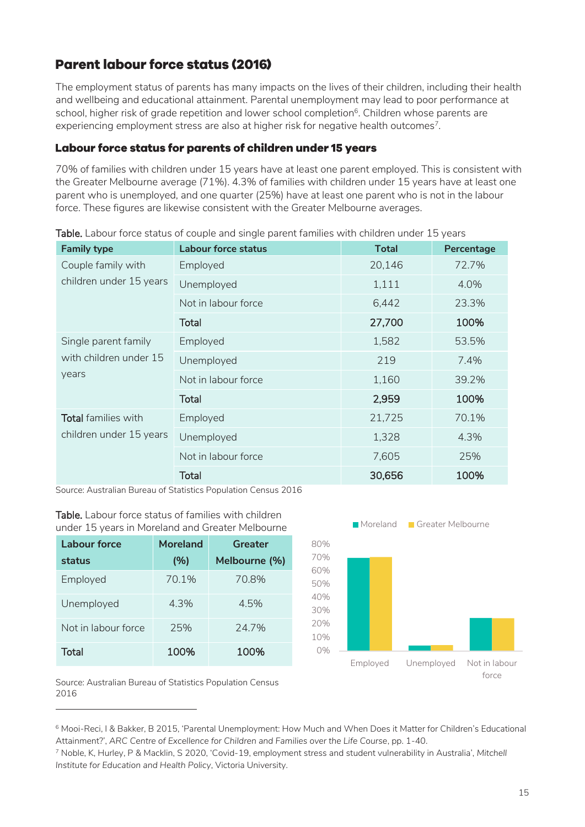## <span id="page-14-0"></span>**Parent labour force status (2016)**

The employment status of parents has many impacts on the lives of their children, including their health and wellbeing and educational attainment. Parental unemployment may lead to poor performance at school, higher risk of grade repetition and lower school completion<sup>6</sup>. Children whose parents are experiencing employment stress are also at higher risk for negative health outcomes<sup>7</sup>.

### Labour force status for parents of children under 15 years

70% of families with children under 15 years have at least one parent employed. This is consistent with the Greater Melbourne average (71%). 4.3% of families with children under 15 years have at least one parent who is unemployed, and one quarter (25%) have at least one parent who is not in the labour force. These figures are likewise consistent with the Greater Melbourne averages.

| <b>Family type</b>                            | <b>Labour force status</b> | <b>Total</b> | Percentage |
|-----------------------------------------------|----------------------------|--------------|------------|
| Couple family with<br>children under 15 years | Employed                   | 20,146       | 72.7%      |
|                                               | Unemployed                 | 1,111        | 4.0%       |
|                                               | Not in labour force        | 6,442        | 23.3%      |
|                                               | Total                      | 27,700       | 100%       |
| Single parent family                          | Employed                   | 1,582        | 53.5%      |
| with children under 15<br>years               | Unemployed                 | 219          | 7.4%       |
|                                               | Not in labour force        | 1,160        | 39.2%      |
|                                               | <b>Total</b>               | 2,959        | 100%       |
| Total families with                           | Employed                   | 21,725       | 70.1%      |
| children under 15 years                       | Unemployed                 | 1,328        | 4.3%       |
|                                               | Not in labour force        | 7,605        | 25%        |
|                                               | <b>Total</b>               | 30,656       | 100%       |

Table. Labour force status of couple and single parent families with children under 15 years

Source: Australian Bureau of Statistics Population Census 2016

Table. Labour force status of families with children under 15 years in Moreland and Greater Melbourne

| <b>Labour force</b> | <b>Moreland</b> | Greater       | 8                             |
|---------------------|-----------------|---------------|-------------------------------|
| status              | (%)             | Melbourne (%) | 7                             |
| Employed            | 70.1%           | 70.8%         | 6<br>5                        |
| Unemployed          | 4.3%            | 4.5%          | $\overline{\mathcal{A}}$<br>3 |
| Not in labour force | 25%             | 24.7%         | $\overline{2}$<br>1           |
| Total               | 100%            | 100%          |                               |



Source: Australian Bureau of Statistics Population Census 2016

-

<sup>6</sup> Mooi-Reci, I & Bakker, B 2015, 'Parental Unemployment: How Much and When Does it Matter for Children's Educational Attainment?', *ARC Centre of Excellence for Children and Families over the Life Course*, pp. 1-40.

<sup>7</sup> Noble, K, Hurley, P & Macklin, S 2020, 'Covid-19, employment stress and student vulnerability in Australia', *Mitchell Institute for Education and Health Policy*, Victoria University.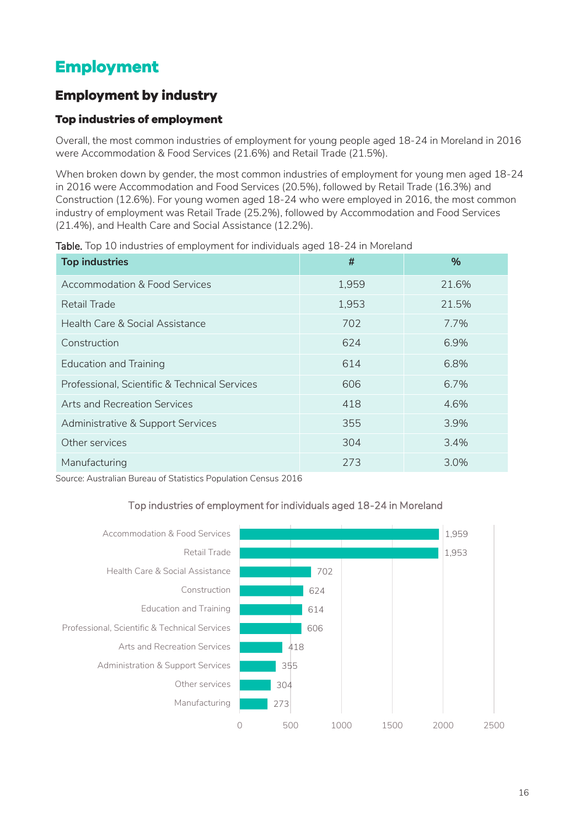# <span id="page-15-0"></span>**Employment**

## <span id="page-15-1"></span>**Employment by industry**

## Top industries of employment

Overall, the most common industries of employment for young people aged 18-24 in Moreland in 2016 were Accommodation & Food Services (21.6%) and Retail Trade (21.5%).

When broken down by gender, the most common industries of employment for young men aged 18-24 in 2016 were Accommodation and Food Services (20.5%), followed by Retail Trade (16.3%) and Construction (12.6%). For young women aged 18-24 who were employed in 2016, the most common industry of employment was Retail Trade (25.2%), followed by Accommodation and Food Services (21.4%), and Health Care and Social Assistance (12.2%).

| <b>Top industries</b>                         | #     | %     |
|-----------------------------------------------|-------|-------|
| <b>Accommodation &amp; Food Services</b>      | 1,959 | 21.6% |
| Retail Trade                                  | 1,953 | 21.5% |
| Health Care & Social Assistance               | 702   | 7.7%  |
| Construction                                  | 624   | 6.9%  |
| <b>Education and Training</b>                 | 614   | 6.8%  |
| Professional, Scientific & Technical Services | 606   | 6.7%  |
| Arts and Recreation Services                  | 418   | 4.6%  |
| Administrative & Support Services             | 355   | 3.9%  |
| Other services                                | 304   | 3.4%  |
| Manufacturing                                 | 273   | 3.0%  |

Table. Top 10 industries of employment for individuals aged 18-24 in Moreland

Source: Australian Bureau of Statistics Population Census 2016

#### Top industries of employment for individuals aged 18-24 in Moreland

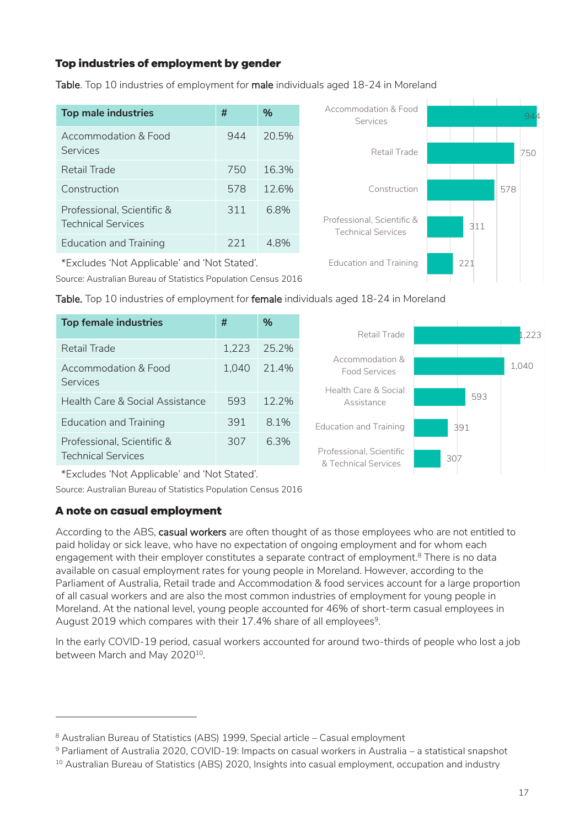## Top industries of employment by gender

| <b>Top male industries</b>                              | #   | $\%$  |
|---------------------------------------------------------|-----|-------|
| Accommodation & Food<br>Services                        | 944 | 20.5% |
| Retail Trade                                            | 750 | 16.3% |
| Construction                                            | 578 | 12.6% |
| Professional, Scientific &<br><b>Technical Services</b> | 311 | 6.8%  |
| <b>Education and Training</b>                           | 221 | 48%   |

Table. Top 10 industries of employment for male individuals aged 18-24 in Moreland

| *Excludes 'Not Applicable' and 'Not Stated'. |  |
|----------------------------------------------|--|
|----------------------------------------------|--|

Source: Australian Bureau of Statistics Population Census 2016





944

750

578

307

& Technical Services

Accommodation & Food Services

Retail Trade

Construction

Table. Top 10 industries of employment for female individuals aged 18-24 in Moreland

\*Excludes 'Not Applicable' and 'Not Stated'.

Source: Australian Bureau of Statistics Population Census 2016

## A note on casual employment

**Services** 

-

Technical Services

According to the ABS, casual workers are often thought of as those employees who are not entitled to paid holiday or sick leave, who have no expectation of ongoing employment and for whom each engagement with their employer constitutes a separate contract of employment.<sup>8</sup> There is no data available on casual employment rates for young people in Moreland. However, according to the Parliament of Australia, Retail trade and Accommodation & food services account for a large proportion of all casual workers and are also the most common industries of employment for young people in Moreland. At the national level, young people accounted for 46% of short-term casual employees in August 2019 which compares with their 17.4% share of all employees $^{\rm 9}$ .

In the early COVID-19 period, casual workers accounted for around two-thirds of people who lost a job between March and May 2020<sup>10</sup>.

<sup>8</sup> Australian Bureau of Statistics (ABS) 1999, Special article – Casual employment

<sup>9</sup> Parliament of Australia 2020, COVID-19: Impacts on casual workers in Australia – a statistical snapshot

<sup>&</sup>lt;sup>10</sup> Australian Bureau of Statistics (ABS) 2020, Insights into casual employment, occupation and industry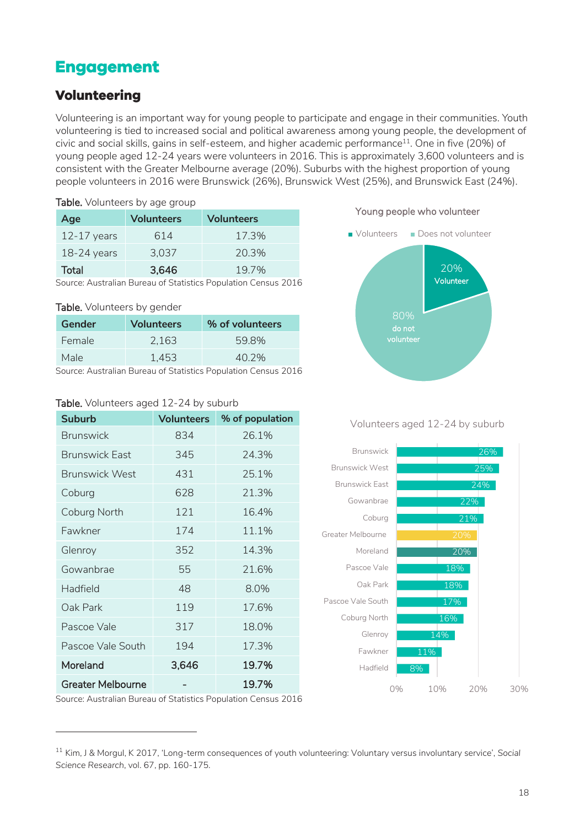## <span id="page-17-0"></span>**Engagement**

## <span id="page-17-1"></span>**Volunteering**

Volunteering is an important way for young people to participate and engage in their communities. Youth volunteering is tied to increased social and political awareness among young people, the development of civic and social skills, gains in self-esteem, and higher academic performance<sup>11</sup> . One in five (20%) of young people aged 12-24 years were volunteers in 2016. This is approximately 3,600 volunteers and is consistent with the Greater Melbourne average (20%). Suburbs with the highest proportion of young people volunteers in 2016 were Brunswick (26%), Brunswick West (25%), and Brunswick East (24%).

| <b>Table.</b> Volunteers by age group                          |                                        |       |  |  |
|----------------------------------------------------------------|----------------------------------------|-------|--|--|
| Age                                                            | <b>Volunteers</b><br><b>Volunteers</b> |       |  |  |
| $12-17$ years                                                  | 614                                    | 17.3% |  |  |
| $18-24$ years                                                  | 3,037                                  | 20.3% |  |  |
| 3,646<br><b>Total</b><br>19.7%                                 |                                        |       |  |  |
| Source: Australian Bureau of Statistics Population Census 2016 |                                        |       |  |  |

Table. Volunteers by gender

| <b>TUDIOI</b> TOIGHTCOCIO NY GOTTOCH |                   |                 |  |  |
|--------------------------------------|-------------------|-----------------|--|--|
| Gender                               | <b>Volunteers</b> | % of volunteers |  |  |
| Female                               | 2.163             | 59.8%           |  |  |
| Male                                 | 1.453             | 40.2%           |  |  |

Source: Australian Bureau of Statistics Population Census 2016

#### Table. Volunteers aged 12-24 by suburb

| <b>Suburb</b>            | <b>Volunteers</b> | % of population |
|--------------------------|-------------------|-----------------|
| <b>Brunswick</b>         | 834               | 26.1%           |
| <b>Brunswick East</b>    | 345               | 24.3%           |
| <b>Brunswick West</b>    | 431               | 25.1%           |
| Coburg                   | 628               | 21.3%           |
| Coburg North             | 121               | 16.4%           |
| Fawkner                  | 174               | 11.1%           |
| Glenroy                  | 352               | 14.3%           |
| Gowanbrae                | 55                | 21.6%           |
| Hadfield                 | 48                | 8.0%            |
| Oak Park                 | 119               | 17.6%           |
| Pascoe Vale              | 317               | 18.0%           |
| Pascoe Vale South        | 194               | 17.3%           |
| Moreland                 | 3,646             | 19.7%           |
| <b>Greater Melbourne</b> |                   | 19.7%           |

#### Young people who volunteer



Volunteers aged 12-24 by suburb



Source: Australian Bureau of Statistics Population Census 2016

-

<sup>11</sup> Kim, J & Morgul, K 2017, 'Long-term consequences of youth volunteering: Voluntary versus involuntary service', *Social Science Research*, vol. 67, pp. 160-175.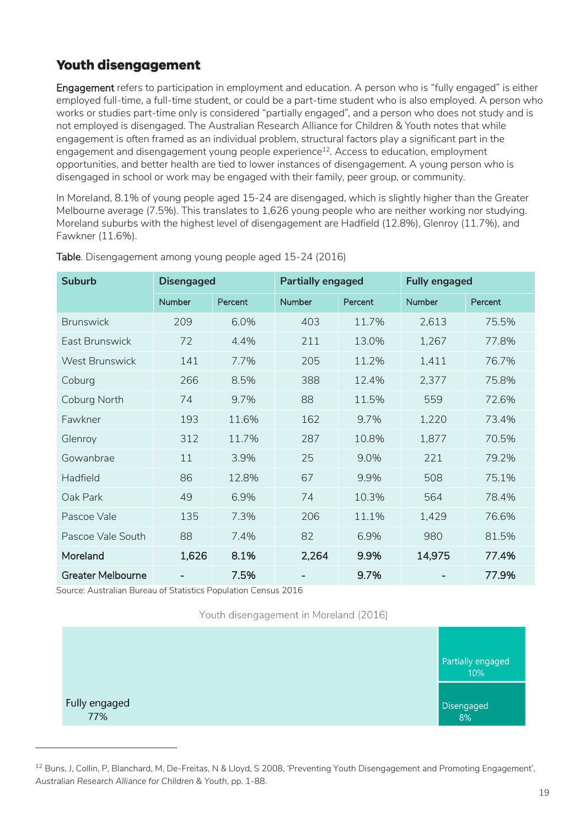## <span id="page-18-0"></span>**Youth disengagement**

**Engagement** refers to participation in employment and education. A person who is "fully engaged" is either employed full-time, a full-time student, or could be a part-time student who is also employed. A person who works or studies part-time only is considered "partially engaged", and a person who does not study and is not employed is disengaged. The Australian Research Alliance for Children & Youth notes that while engagement is often framed as an individual problem, structural factors play a significant part in the engagement and disengagement young people experience<sup>12</sup>. Access to education, employment opportunities, and better health are tied to lower instances of disengagement. A young person who is disengaged in school or work may be engaged with their family, peer group, or community.

In Moreland, 8.1% of young people aged 15-24 are disengaged, which is slightly higher than the Greater Melbourne average (7.5%). This translates to 1,626 young people who are neither working nor studying. Moreland suburbs with the highest level of disengagement are Hadfield (12.8%), Glenroy (11.7%), and Fawkner (11.6%).

| <b>Suburb</b>            | <b>Disengaged</b> |         | <b>Partially engaged</b> |         | <b>Fully engaged</b> |         |
|--------------------------|-------------------|---------|--------------------------|---------|----------------------|---------|
|                          | <b>Number</b>     | Percent | Number                   | Percent | <b>Number</b>        | Percent |
| <b>Brunswick</b>         | 209               | 6.0%    | 403                      | 11.7%   | 2,613                | 75.5%   |
| <b>Fast Brunswick</b>    | 72                | 4.4%    | 211                      | 13.0%   | 1,267                | 77.8%   |
| <b>West Brunswick</b>    | 141               | 7.7%    | 205                      | 11.2%   | 1,411                | 76.7%   |
| Coburg                   | 266               | 8.5%    | 388                      | 12.4%   | 2,377                | 75.8%   |
| Coburg North             | 74                | 9.7%    | 88                       | 11.5%   | 559                  | 72.6%   |
| Fawkner                  | 193               | 11.6%   | 162                      | 9.7%    | 1,220                | 73.4%   |
| Glenroy                  | 312               | 11.7%   | 287                      | 10.8%   | 1,877                | 70.5%   |
| Gowanbrae                | 11                | 3.9%    | 25                       | 9.0%    | 221                  | 79.2%   |
| Hadfield                 | 86                | 12.8%   | 67                       | 9.9%    | 508                  | 75.1%   |
| Oak Park                 | 49                | 6.9%    | 74                       | 10.3%   | 564                  | 78.4%   |
| Pascoe Vale              | 135               | 7.3%    | 206                      | 11.1%   | 1,429                | 76.6%   |
| Pascoe Vale South        | 88                | 7.4%    | 82                       | 6.9%    | 980                  | 81.5%   |
| Moreland                 | 1,626             | 8.1%    | 2,264                    | 9.9%    | 14,975               | 77.4%   |
| <b>Greater Melbourne</b> |                   | 7.5%    |                          | 9.7%    |                      | 77.9%   |

Table. Disengagement among young people aged 15-24 (2016)

Source: Australian Bureau of Statistics Population Census 2016

-

Youth disengagement in Moreland (2016)

|                      | Partially engaged<br>10% |
|----------------------|--------------------------|
| Fully engaged<br>77% | Disengaged<br>8%         |

<sup>&</sup>lt;sup>12</sup> Buns, J, Collin, P, Blanchard, M, De-Freitas, N & Lloyd, S 2008, 'Preventing Youth Disengagement and Promoting Engagement', *Australian Research Alliance for Children & Youth*, pp. 1-88.